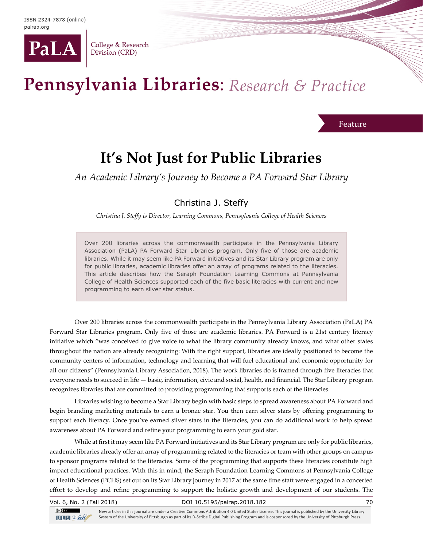

College & Research Division (CRD)

# Pennsylvania Libraries: Research & Practice

Feature

# **It's Not Just for Public Libraries**

*An Academic Library's Journey to Become a PA Forward Star Library*

## Christina J. Steffy

*Christina J. Steffy is Director, Learning Commons, Pennsylvania College of Health Sciences*

Over 200 libraries across the commonwealth participate in the Pennsylvania Library Association (PaLA) PA Forward Star Libraries program. Only five of those are academic libraries. While it may seem like PA Forward initiatives and its Star Library program are only for public libraries, academic libraries offer an array of programs related to the literacies. This article describes how the Seraph Foundation Learning Commons at Pennsylvania College of Health Sciences supported each of the five basic literacies with current and new programming to earn silver star status.

Over 200 libraries across the commonwealth participate in the Pennsylvania Library Association (PaLA) PA Forward Star Libraries program. Only five of those are academic libraries. PA Forward is a 21st century literacy initiative which "was conceived to give voice to what the library community already knows, and what other states throughout the nation are already recognizing: With the right support, libraries are ideally positioned to become the community centers of information, technology and learning that will fuel educational and economic opportunity for all our citizens" (Pennsylvania Library Association, 2018). The work libraries do is framed through five literacies that everyone needs to succeed in life — basic, information, civic and social, health, and financial. The Star Library program recognizes libraries that are committed to providing programming that supports each of the literacies.

Libraries wishing to become a Star Library begin with basic steps to spread awareness about PA Forward and begin branding marketing materials to earn a bronze star. You then earn silver stars by offering programming to support each literacy. Once you've earned silver stars in the literacies, you can do additional work to help spread awareness about PA Forward and refine your programming to earn your gold star.

While at first it may seem like PA Forward initiatives and its Star Library program are only for public libraries, academic libraries already offer an array of programming related to the literacies or team with other groups on campus to sponsor programs related to the literacies. Some of the programming that supports these literacies constitute high impact educational practices. With this in mind, the Seraph Foundation Learning Commons at Pennsylvania College of Health Sciences (PCHS) set out on its Star Library journey in 2017 at the same time staff were engaged in a concerted effort to develop and refine programming to support the holistic growth and development of our students. The

| Vol. 6, No. 2 (Fall 2018)  | DOI 10.5195/palrap.2018.182                                                                                                                             |  |
|----------------------------|---------------------------------------------------------------------------------------------------------------------------------------------------------|--|
| $\left( $ cc $\right)$ Esy | Now articles in this journal are under a Creative Commans Attribution 4.0 United States License. This journal is published by the University University |  |

 $TITIS$   $2$ -Sole

New articles in this journal are under a Creative Commons Attribution 4.0 United States License. This journal is published by the University Library System of the University of Pittsburgh as part of its D-Scribe Digital Publishing Program and is cosponsored by the University of Pittsburgh Press.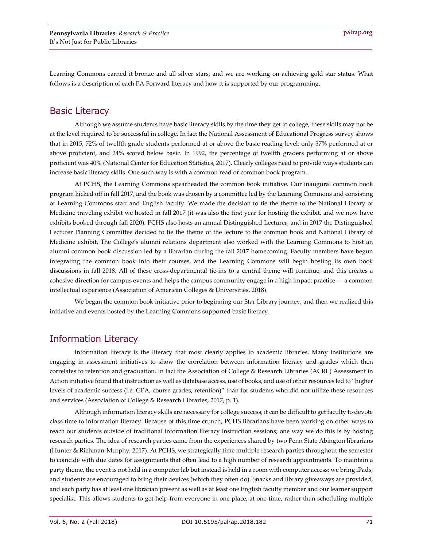Learning Commons earned it bronze and all silver stars, and we are working on achieving gold star status. What follows is a description of each PA Forward literacy and how it is supported by our programming.

#### Basic Literacy

Although we assume students have basic literacy skills by the time they get to college, these skills may not be at the level required to be successful in college. In fact the National Assessment of Educational Progress survey shows that in 2015, 72% of twelfth grade students performed at or above the basic reading level; only 37% performed at or above proficient, and 24% scored below basic. In 1992, the percentage of twelfth graders performing at or above proficient was 40% (National Center for Education Statistics, 2017). Clearly colleges need to provide ways students can increase basic literacy skills. One such way is with a common read or common book program.

At PCHS, the Learning Commons spearheaded the common book initiative. Our inaugural common book program kicked off in fall 2017, and the book was chosen by a committee led by the Learning Commons and consisting of Learning Commons staff and English faculty. We made the decision to tie the theme to the National Library of Medicine traveling exhibit we hosted in fall 2017 (it was also the first year for hosting the exhibit, and we now have exhibits booked through fall 2020). PCHS also hosts an annual Distinguished Lecturer, and in 2017 the Distinguished Lecturer Planning Committee decided to tie the theme of the lecture to the common book and National Library of Medicine exhibit. The College's alumni relations department also worked with the Learning Commons to host an alumni common book discussion led by a librarian during the fall 2017 homecoming. Faculty members have begun integrating the common book into their courses, and the Learning Commons will begin hosting its own book discussions in fall 2018. All of these cross-departmental tie-ins to a central theme will continue, and this creates a cohesive direction for campus events and helps the campus community engage in a high impact practice — a common intellectual experience (Association of American Colleges & Universities, 2018).

We began the common book initiative prior to beginning our Star Library journey, and then we realized this initiative and events hosted by the Learning Commons supported basic literacy.

### Information Literacy

Information literacy is the literacy that most clearly applies to academic libraries. Many institutions are engaging in assessment initiatives to show the correlation between information literacy and grades which then correlates to retention and graduation. In fact the Association of College & Research Libraries (ACRL) Assessment in Action initiative found that instruction as well as database access, use of books, and use of other resources led to "higher levels of academic success (i.e. GPA, course grades, retention)" than for students who did not utilize these resources and services (Association of College & Research Libraries, 2017, p. 1).

Although information literacy skills are necessary for college success, it can be difficult to get faculty to devote class time to information literacy. Because of this time crunch, PCHS librarians have been working on other ways to reach our students outside of traditional information literacy instruction sessions; one way we do this is by hosting research parties. The idea of research parties came from the experiences shared by two Penn State Abington librarians (Hunter & Riehman-Murphy, 2017). At PCHS, we strategically time multiple research parties throughout the semester to coincide with due dates for assignments that often lead to a high number of research appointments. To maintain a party theme, the event is not held in a computer lab but instead is held in a room with computer access; we bring iPads, and students are encouraged to bring their devices (which they often do). Snacks and library giveaways are provided, and each party has at least one librarian present as well as at least one English faculty member and our learner support specialist. This allows students to get help from everyone in one place, at one time, rather than scheduling multiple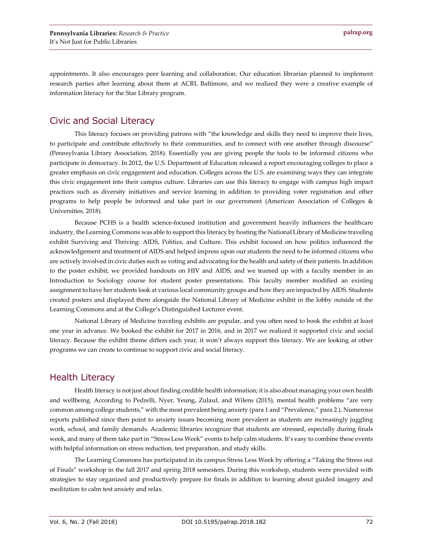appointments. It also encourages peer learning and collaboration. Our education librarian planned to implement research parties after learning about them at ACRL Baltimore, and we realized they were a creative example of information literacy for the Star Library program.

#### Civic and Social Literacy

This literacy focuses on providing patrons with "the knowledge and skills they need to improve their lives, to participate and contribute effectively to their communities, and to connect with one another through discourse" (Pennsylvania Library Association, 2018). Essentially you are giving people the tools to be informed citizens who participate in democracy. In 2012, the U.S. Department of Education released a report encouraging colleges to place a greater emphasis on civic engagement and education. Colleges across the U.S. are examining ways they can integrate this civic engagement into their campus culture. Libraries can use this literacy to engage with campus high impact practices such as diversity initiatives and service learning in addition to providing voter registration and other programs to help people be informed and take part in our government (American Association of Colleges & Universities, 2018).

Because PCHS is a health science-focused institution and government heavily influences the healthcare industry, the Learning Commons was able to support this literacy by hosting the National Library of Medicine traveling exhibit Surviving and Thriving: AIDS, Politics, and Culture. This exhibit focused on how politics influenced the acknowledgement and treatment of AIDS and helped impress upon our students the need to be informed citizens who are actively involved in civic duties such as voting and advocating for the health and safety of their patients. In addition to the poster exhibit, we provided handouts on HIV and AIDS, and we teamed up with a faculty member in an Introduction to Sociology course for student poster presentations. This faculty member modified an existing assignment to have her students look at various local community groups and how they are impacted by AIDS. Students created posters and displayed them alongside the National Library of Medicine exhibit in the lobby outside of the Learning Commons and at the College's Distinguished Lecturer event.

National Library of Medicine traveling exhibits are popular, and you often need to book the exhibit at least one year in advance. We booked the exhibit for 2017 in 2016, and in 2017 we realized it supported civic and social literacy. Because the exhibit theme differs each year, it won't always support this literacy. We are looking at other programs we can create to continue to support civic and social literacy.

#### Health Literacy

Health literacy is not just about finding credible health information; it is also about managing your own health and wellbeing. According to Pedrelli, Nyer, Yeung, Zulauf, and Wilens (2015), mental health problems "are very common among college students," with the most prevalent being anxiety (para 1 and "Prevalence," para 2.). Numerous reports published since then point to anxiety issues becoming more prevalent as students are increasingly juggling work, school, and family demands. Academic libraries recognize that students are stressed, especially during finals week, and many of them take part in "Stress Less Week" events to help calm students. It's easy to combine these events with helpful information on stress reduction, test preparation, and study skills.

The Learning Commons has participated in its campus Stress Less Week by offering a "Taking the Stress out of Finals" workshop in the fall 2017 and spring 2018 semesters. During this workshop, students were provided with strategies to stay organized and productively prepare for finals in addition to learning about guided imagery and meditation to calm test anxiety and relax.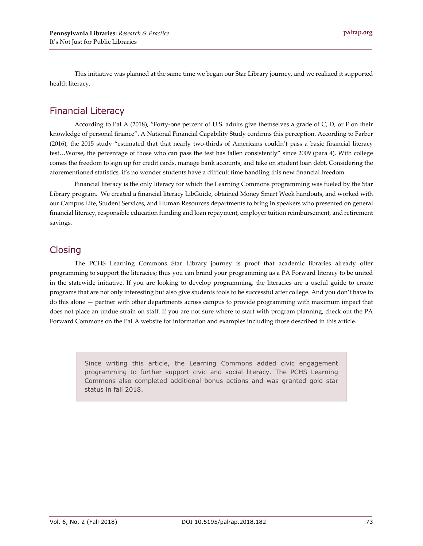This initiative was planned at the same time we began our Star Library journey, and we realized it supported health literacy.

### Financial Literacy

According to PaLA (2018), "Forty-one percent of U.S. adults give themselves a grade of C, D, or F on their knowledge of personal finance". A National Financial Capability Study confirms this perception. According to Farber (2016), the 2015 study "estimated that that nearly two-thirds of Americans couldn't pass a basic financial literacy test…Worse, the percentage of those who can pass the test has fallen consistently" since 2009 (para 4). With college comes the freedom to sign up for credit cards, manage bank accounts, and take on student loan debt. Considering the aforementioned statistics, it's no wonder students have a difficult time handling this new financial freedom.

Financial literacy is the only literacy for which the Learning Commons programming was fueled by the Star Library program. We created a financial literacy LibGuide, obtained Money Smart Week handouts, and worked with our Campus Life, Student Services, and Human Resources departments to bring in speakers who presented on general financial literacy, responsible education funding and loan repayment, employer tuition reimbursement, and retirement savings.

#### **Closing**

The PCHS Learning Commons Star Library journey is proof that academic libraries already offer programming to support the literacies; thus you can brand your programming as a PA Forward literacy to be united in the statewide initiative. If you are looking to develop programming, the literacies are a useful guide to create programs that are not only interesting but also give students tools to be successful after college. And you don't have to do this alone — partner with other departments across campus to provide programming with maximum impact that does not place an undue strain on staff. If you are not sure where to start with program planning, check out the PA Forward Commons on the PaLA website for information and examples including those described in this article.

> Since writing this article, the Learning Commons added civic engagement programming to further support civic and social literacy. The PCHS Learning Commons also completed additional bonus actions and was granted gold star status in fall 2018.